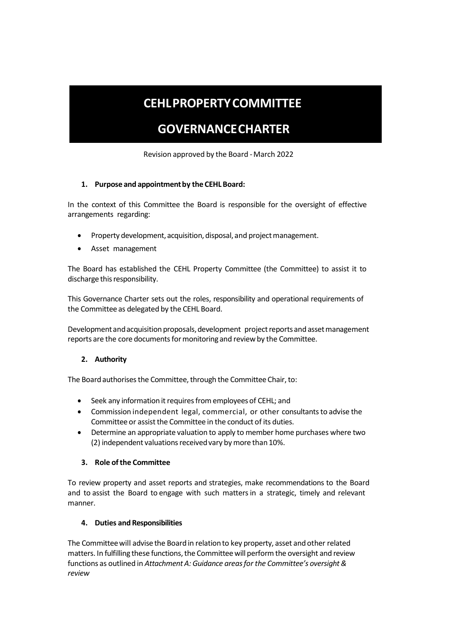# **CEHLPROPERTYCOMMITTEE**

## **GOVERNANCECHARTER**

Revision approved by the Board -March 2022

#### **1. Purpose and appointmentby the CEHL Board:**

In the context of this Committee the Board is responsible for the oversight of effective arrangements regarding:

- Property development, acquisition, disposal, and project management.
- Asset management

The Board has established the CEHL Property Committee (the Committee) to assist it to discharge this responsibility.

This Governance Charter sets out the roles, responsibility and operational requirements of the Committee as delegated by the CEHL Board.

Development and acquisition proposals, development project reports and asset management reports are the core documents for monitoring and review by the Committee.

#### **2. Authority**

The Board authorises the Committee, through the Committee Chair, to:

- Seek any information it requires from employees of CEHL; and
- Commission independent legal, commercial, or other consultants to advise the Committee or assist the Committee in the conduct of its duties.
- Determine an appropriate valuation to apply to member home purchases where two (2) independent valuations received vary by more than 10%.

#### **3. Role ofthe Committee**

To review property and asset reports and strategies, make recommendations to the Board and to assist the Board to engage with such mattersin a strategic, timely and relevant manner.

#### **4. Duties and Responsibilities**

The Committeewill advise the Board in relationto key property, asset and other related matters. In fulfilling these functions, the Committee will perform the oversight and review functions as outlined in *Attachment A: Guidance areasfor the Committee's oversight& review*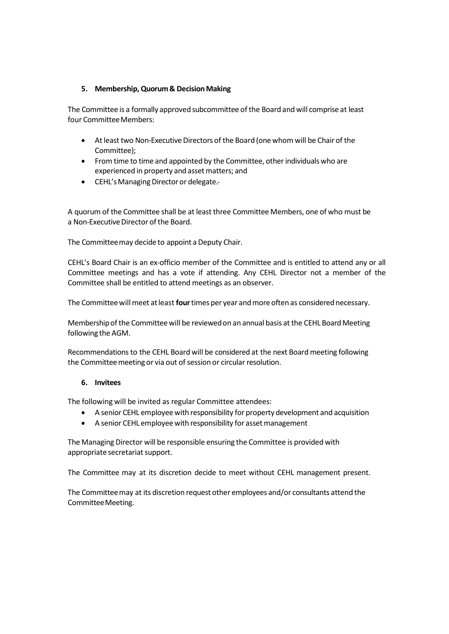#### **5. Membership,Quorum& DecisionMaking**

The Committee is a formally approved subcommittee of the Board and will comprise at least four Committee Members:

- At least two Non-Executive Directors of the Board (one whom will be Chair of the Committee);
- From time to time and appointed by the Committee, other individuals who are experienced in property and asset matters; and
- CEHL's Managing Director or delegate.-

A quorum of the Committee shall be at least three Committee Members, one of who must be a Non-Executive Director of the Board.

The Committeemay decide to appoint a Deputy Chair.

CEHL's Board Chair is an ex-officio member of the Committee and is entitled to attend any or all Committee meetings and has a vote if attending. Any CEHL Director not a member of the Committee shall be entitled to attend meetings as an observer.

The Committee will meet at least four times per year and more often as considered necessary.

Membershipofthe Committeewill be reviewedon an annual basis atthe CEHL BoardMeeting following the AGM.

Recommendations to the CEHL Board will be considered at the next Board meeting following the Committee meeting or via out of session or circular resolution.

#### **6. Invitees**

The following will be invited as regular Committee attendees:

- A senior CEHL employee with responsibility for property development and acquisition
- A senior CEHL employee with responsibility for asset management

The Managing Director will be responsible ensuring the Committee is provided with appropriate secretariat support.

The Committee may at its discretion decide to meet without CEHL management present.

The Committeemay at its discretion request other employees and/or consultants attend the CommitteeMeeting.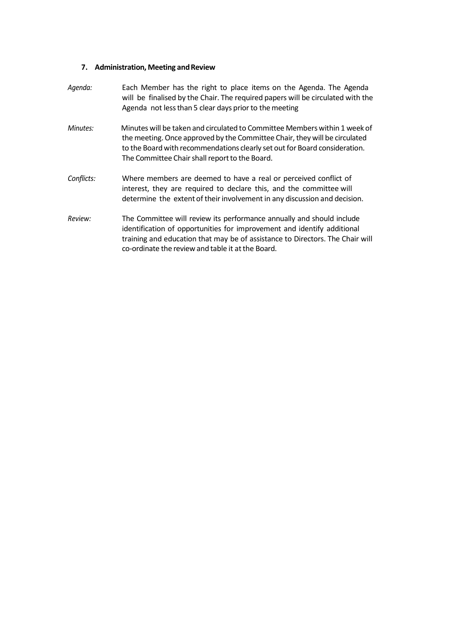### **7. Administration, Meeting andReview**

| Agenda:    | Each Member has the right to place items on the Agenda. The Agenda<br>will be finalised by the Chair. The required papers will be circulated with the<br>Agenda not less than 5 clear days prior to the meeting                                                                          |
|------------|------------------------------------------------------------------------------------------------------------------------------------------------------------------------------------------------------------------------------------------------------------------------------------------|
| Minutes:   | Minutes will be taken and circulated to Committee Members within 1 week of<br>the meeting. Once approved by the Committee Chair, they will be circulated<br>to the Board with recommendations clearly set out for Board consideration.<br>The Committee Chair shall report to the Board. |
| Conflicts: | Where members are deemed to have a real or perceived conflict of<br>interest, they are required to declare this, and the committee will<br>determine the extent of their involvement in any discussion and decision.                                                                     |
| Review:    | The Committee will review its performance annually and should include<br>identification of opportunities for improvement and identify additional<br>training and education that may be of assistance to Directors. The Chair will<br>co-ordinate the review and table it at the Board.   |